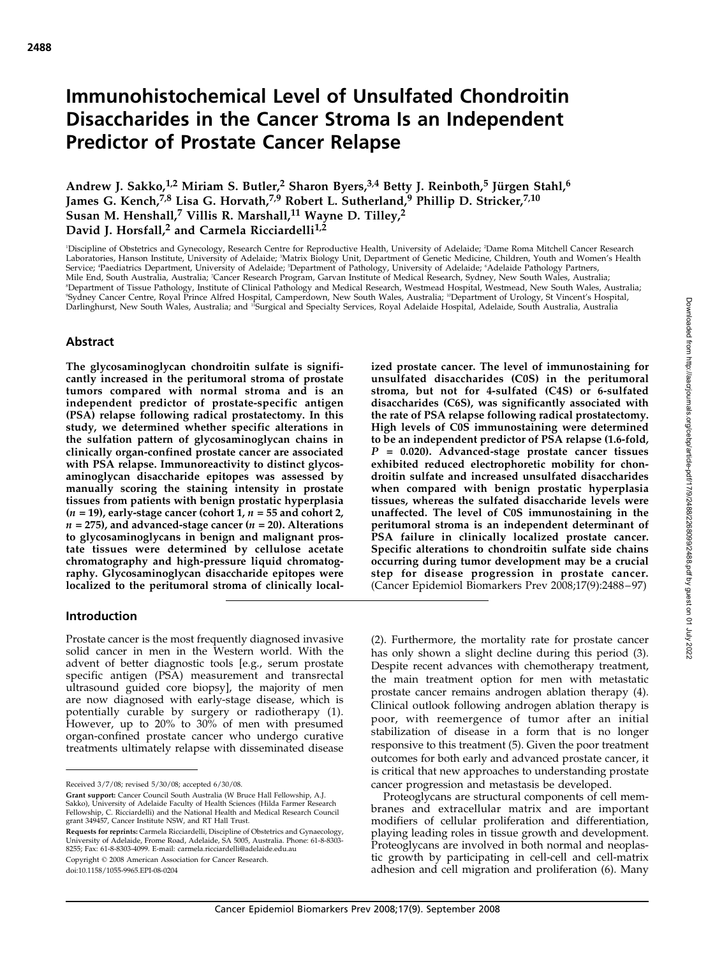# Immunohistochemical Level of Unsulfated Chondroitin Disaccharides in the Cancer Stroma Is an Independent Predictor of Prostate Cancer Relapse

Andrew J. Sakko,<sup>1,2</sup> Miriam S. Butler,<sup>2</sup> Sharon Byers,<sup>3,4</sup> Betty J. Reinboth,<sup>5</sup> Jürgen Stahl,<sup>6</sup> James G. Kench,<sup>7,8</sup> Lisa G. Horvath,<sup>7,9</sup> Robert L. Sutherland,<sup>9</sup> Phillip D. Stricker,<sup>7,10</sup> Susan M. Henshall,<sup>7</sup> Villis R. Marshall,<sup>11</sup> Wayne D. Tilley,<sup>2</sup> David J. Horsfall,<sup>2</sup> and Carmela Ricciardelli<sup>1,2</sup>

'Discipline of Obstetrics and Gynecology, Research Centre for Reproductive Health, University of Adelaide; <sup>2</sup>Dame Roma Mitchell Cancer Research Laboratories, Hanson Institute, University of Adelaide; <sup>3</sup>Matrix Biology Unit, Department of Genetic Medicine, Children, Youth and Women's Health Service; 'Paediatrics Department, University of Adelaide; 'Department of Pathology, University of Adelaide; 'Adelaide Pathology Partners,<br>Mile End, South Australia, Australia; 'Cancer Research Program, Garvan Institute of ®Department of Tissue Pathology, Institute of Clinical Pathology and Medical Research, Westmead Hospital, Westmead, New South Wales, Australia;<br>®Sydney Cancer Centre, Royal Prince Alfred Hospital, Camperdown, New South Wal Darlinghurst, New South Wales, Australia; and <sup>11</sup>Surgical and Specialty Services, Royal Adelaide Hospital, Adelaide, South Australia, Australia

## Abstract

The glycosaminoglycan chondroitin sulfate is significantly increased in the peritumoral stroma of prostate tumors compared with normal stroma and is an independent predictor of prostate-specific antigen (PSA) relapse following radical prostatectomy. In this study, we determined whether specific alterations in the sulfation pattern of glycosaminoglycan chains in clinically organ-confined prostate cancer are associated with PSA relapse. Immunoreactivity to distinct glycosaminoglycan disaccharide epitopes was assessed by manually scoring the staining intensity in prostate tissues from patients with benign prostatic hyperplasia  $(n = 19)$ , early-stage cancer (cohort 1,  $n = 55$  and cohort 2,  $n = 275$ ), and advanced-stage cancer ( $n = 20$ ). Alterations to glycosaminoglycans in benign and malignant prostate tissues were determined by cellulose acetate chromatography and high-pressure liquid chromatography. Glycosaminoglycan disaccharide epitopes were localized to the peritumoral stroma of clinically localized prostate cancer. The level of immunostaining for unsulfated disaccharides (C0S) in the peritumoral stroma, but not for 4-sulfated (C4S) or 6-sulfated disaccharides (C6S), was significantly associated with the rate of PSA relapse following radical prostatectomy. High levels of C0S immunostaining were determined to be an independent predictor of PSA relapse (1.6-fold,  $P = 0.020$ . Advanced-stage prostate cancer tissues exhibited reduced electrophoretic mobility for chondroitin sulfate and increased unsulfated disaccharides when compared with benign prostatic hyperplasia tissues, whereas the sulfated disaccharide levels were unaffected. The level of C0S immunostaining in the peritumoral stroma is an independent determinant of PSA failure in clinically localized prostate cancer. Specific alterations to chondroitin sulfate side chains occurring during tumor development may be a crucial step for disease progression in prostate cancer. (Cancer Epidemiol Biomarkers Prev 2008;17(9):2488 – 97)

## Introduction

Prostate cancer is the most frequently diagnosed invasive solid cancer in men in the Western world. With the advent of better diagnostic tools [e.g., serum prostate specific antigen (PSA) measurement and transrectal ultrasound guided core biopsy], the majority of men are now diagnosed with early-stage disease, which is potentially curable by surgery or radiotherapy (1). However, up to 20% to 30% of men with presumed organ-confined prostate cancer who undergo curative treatments ultimately relapse with disseminated disease

Copyright © 2008 American Association for Cancer Research.

doi:10.1158/1055-9965.EPI-08-0204

(2). Furthermore, the mortality rate for prostate cancer has only shown a slight decline during this period (3). Despite recent advances with chemotherapy treatment, the main treatment option for men with metastatic prostate cancer remains androgen ablation therapy (4). Clinical outlook following androgen ablation therapy is poor, with reemergence of tumor after an initial stabilization of disease in a form that is no longer responsive to this treatment (5). Given the poor treatment outcomes for both early and advanced prostate cancer, it is critical that new approaches to understanding prostate cancer progression and metastasis be developed.

Proteoglycans are structural components of cell membranes and extracellular matrix and are important modifiers of cellular proliferation and differentiation, playing leading roles in tissue growth and development. Proteoglycans are involved in both normal and neoplastic growth by participating in cell-cell and cell-matrix adhesion and cell migration and proliferation (6). Many

Received 3/7/08; revised 5/30/08; accepted 6/30/08.

Grant support: Cancer Council South Australia (W Bruce Hall Fellowship, A.J. Sakko), University of Adelaide Faculty of Health Sciences (Hilda Farmer Research Fellowship, C. Ricciardelli) and the National Health and Medical Research Council grant 349457, Cancer Institute NSW, and RT Hall Trust.

**Requests for reprints:** Carmela Ricciardelli, Discipline of Obstetrics and Gynaecology,<br>University of Adelaide, Frome Road, Adelaide, SA 5005, Australia. Phone: 61-8-8303-8255; Fax: 61-8-8303-4099. E-mail: carmela.ricciardelli@adelaide.edu.au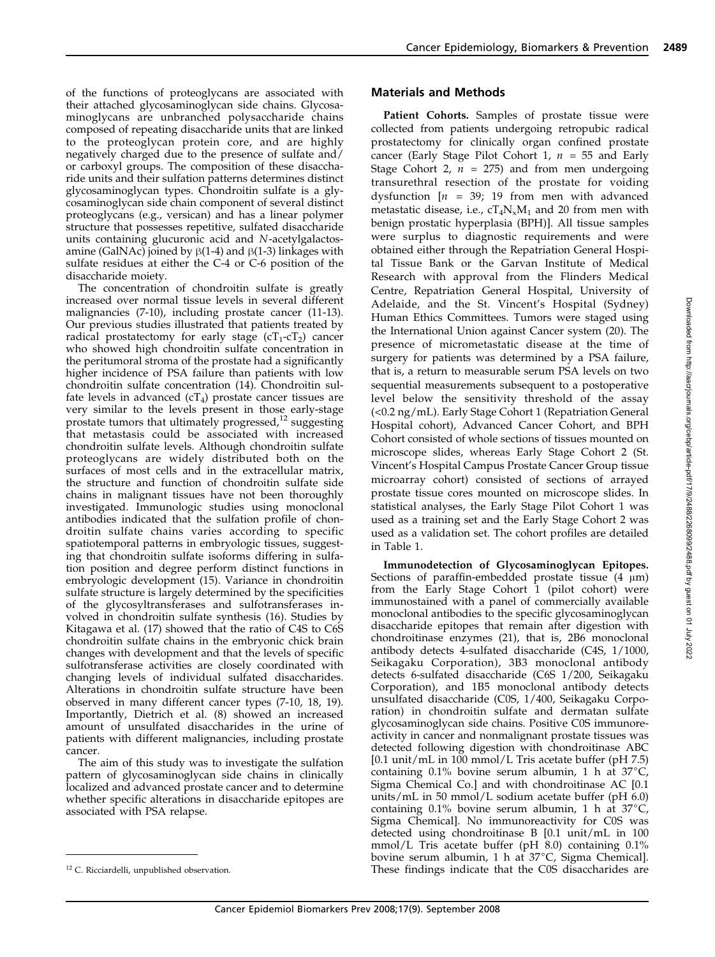of the functions of proteoglycans are associated with their attached glycosaminoglycan side chains. Glycosaminoglycans are unbranched polysaccharide chains composed of repeating disaccharide units that are linked to the proteoglycan protein core, and are highly negatively charged due to the presence of sulfate and/ or carboxyl groups. The composition of these disaccharide units and their sulfation patterns determines distinct glycosaminoglycan types. Chondroitin sulfate is a glycosaminoglycan side chain component of several distinct proteoglycans (e.g., versican) and has a linear polymer structure that possesses repetitive, sulfated disaccharide units containing glucuronic acid and N-acetylgalactosamine (GalNAc) joined by  $\beta$ (1-4) and  $\beta$ (1-3) linkages with sulfate residues at either the C-4 or C-6 position of the disaccharide moiety.

The concentration of chondroitin sulfate is greatly increased over normal tissue levels in several different malignancies (7-10), including prostate cancer (11-13). Our previous studies illustrated that patients treated by radical prostatectomy for early stage  $(cT_1-cT_2)$  cancer who showed high chondroitin sulfate concentration in the peritumoral stroma of the prostate had a significantly higher incidence of PSA failure than patients with low chondroitin sulfate concentration (14). Chondroitin sulfate levels in advanced  $(cT_4)$  prostate cancer tissues are very similar to the levels present in those early-stage prostate tumors that ultimately progressed,<sup>12</sup> suggesting that metastasis could be associated with increased chondroitin sulfate levels. Although chondroitin sulfate proteoglycans are widely distributed both on the surfaces of most cells and in the extracellular matrix, the structure and function of chondroitin sulfate side chains in malignant tissues have not been thoroughly investigated. Immunologic studies using monoclonal antibodies indicated that the sulfation profile of chondroitin sulfate chains varies according to specific spatiotemporal patterns in embryologic tissues, suggesting that chondroitin sulfate isoforms differing in sulfation position and degree perform distinct functions in embryologic development (15). Variance in chondroitin sulfate structure is largely determined by the specificities of the glycosyltransferases and sulfotransferases involved in chondroitin sulfate synthesis (16). Studies by Kitagawa et al. (17) showed that the ratio of C4S to C6S chondroitin sulfate chains in the embryonic chick brain changes with development and that the levels of specific sulfotransferase activities are closely coordinated with changing levels of individual sulfated disaccharides. Alterations in chondroitin sulfate structure have been observed in many different cancer types (7-10, 18, 19). Importantly, Dietrich et al. (8) showed an increased amount of unsulfated disaccharides in the urine of patients with different malignancies, including prostate cancer.

The aimof this study was to investigate the sulfation pattern of glycosaminoglycan side chains in clinically localized and advanced prostate cancer and to determine whether specific alterations in disaccharide epitopes are associated with PSA relapse.

### Materials and Methods

Patient Cohorts. Samples of prostate tissue were collected from patients undergoing retropubic radical prostatectomy for clinically organ confined prostate cancer (Early Stage Pilot Cohort 1,  $n = 55$  and Early Stage Cohort 2,  $n = 275$  and from men undergoing transurethral resection of the prostate for voiding dysfunction  $[n = 39; 19$  from men with advanced metastatic disease, i.e.,  $cT_4N_xM_1$  and 20 from men with benign prostatic hyperplasia (BPH)]. All tissue samples were surplus to diagnostic requirements and were obtained either through the Repatriation General Hospital Tissue Bank or the Garvan Institute of Medical Research with approval from the Flinders Medical Centre, Repatriation General Hospital, University of Adelaide, and the St. Vincent's Hospital (Sydney) Human Ethics Committees. Tumors were staged using the International Union against Cancer system(20). The presence of micrometastatic disease at the time of surgery for patients was determined by a PSA failure, that is, a return to measurable serum PSA levels on two sequential measurements subsequent to a postoperative level below the sensitivity threshold of the assay (<0.2 ng/mL). Early Stage Cohort 1 (Repatriation General Hospital cohort), Advanced Cancer Cohort, and BPH Cohort consisted of whole sections of tissues mounted on microscope slides, whereas Early Stage Cohort 2 (St. Vincent's Hospital Campus Prostate Cancer Group tissue microarray cohort) consisted of sections of arrayed prostate tissue cores mounted on microscope slides. In statistical analyses, the Early Stage Pilot Cohort 1 was used as a training set and the Early Stage Cohort 2 was used as a validation set. The cohort profiles are detailed in Table 1.

Immunodetection of Glycosaminoglycan Epitopes. Sections of paraffin-embedded prostate tissue  $(4 \mu m)$ from the Early Stage Cohort 1 (pilot cohort) were immunostained with a panel of commercially available monoclonal antibodies to the specific glycosaminoglycan disaccharide epitopes that remain after digestion with chondroitinase enzymes (21), that is, 2B6 monoclonal antibody detects 4-sulfated disaccharide (C4S, 1/1000, Seikagaku Corporation), 3B3 monoclonal antibody detects 6-sulfated disaccharide (C6S 1/200, Seikagaku Corporation), and 1B5 monoclonal antibody detects unsulfated disaccharide (C0S, 1/400, Seikagaku Corporation) in chondroitin sulfate and dermatan sulfate glycosaminoglycan side chains. Positive C0S immunoreactivity in cancer and nonmalignant prostate tissues was detected following digestion with chondroitinase ABC [0.1 unit/mL in 100 mmol/L Tris acetate buffer (pH 7.5) containing  $0.1\%$  bovine serum albumin, 1 h at  $37^{\circ}$ C, Sigma Chemical Co.] and with chondroitinase AC [0.1 units/mL in 50 mmol/L sodium acetate buffer (pH 6.0) containing  $0.1\%$  bovine serum albumin, 1 h at  $37\degree$ C, Sigma Chemical]. No immunoreactivity for C0S was detected using chondroitinase B [0.1 unit/mL in 100 mmol/L Tris acetate buffer (pH 8.0) containing 0.1% bovine serum albumin, 1 h at  $37^{\circ}$ C, Sigma Chemical]. <sup>12</sup> C. Ricciardelli, unpublished observation. These findings indicate that the COS disaccharides are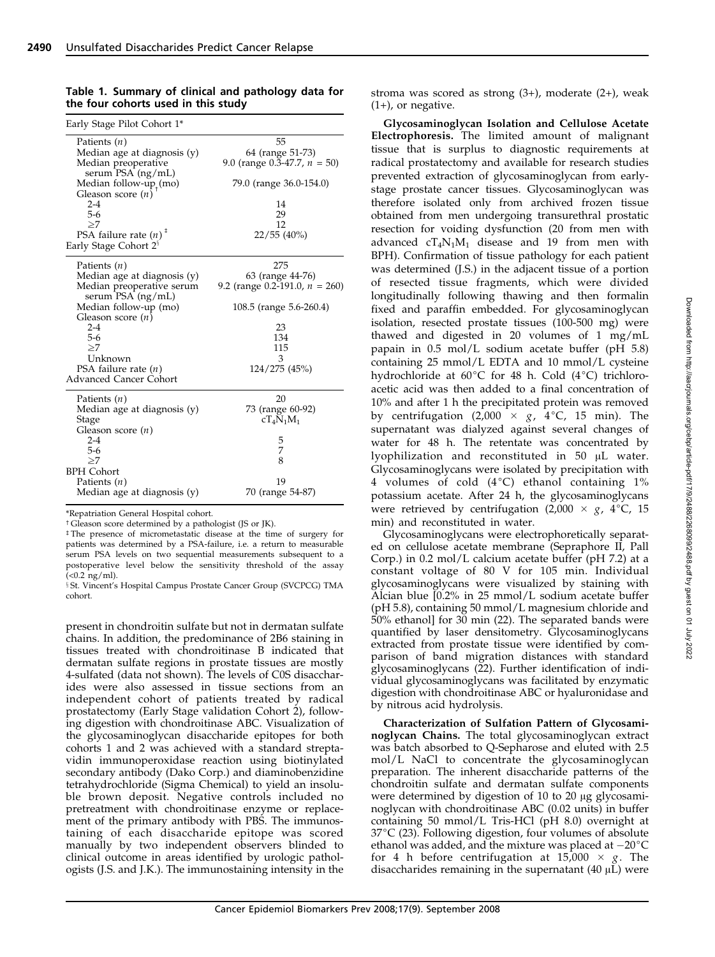| Early Stage Pilot Cohort 1*                                                           |                                                                         |
|---------------------------------------------------------------------------------------|-------------------------------------------------------------------------|
| Patients $(n)$<br>Median age at diagnosis (y)<br>Median preoperative                  | 55<br>64 (range 51-73)<br>9.0 (range $0.\overline{3}$ -47.7, $n = 50$ ) |
| serum PSA (ng/mL)<br>Median follow- $up_{+}(mo)$<br>Gleason score $(n)$               | 79.0 (range 36.0-154.0)                                                 |
| $2 - 4$                                                                               | 14                                                                      |
| $5-6$                                                                                 | 29                                                                      |
| >7                                                                                    | 12                                                                      |
| PSA failure rate $(n)$ <sup><math>#</math></sup><br>Early Stage Cohort 2 <sup>§</sup> | $22/55$ (40%)                                                           |
| Patients $(n)$                                                                        | 275                                                                     |
| Median age at diagnosis (y)                                                           | 63 (range 44-76)                                                        |
| Median preoperative serum<br>serum PSA (ng/mL)                                        | 9.2 (range 0.2-191.0, $n = 260$ )                                       |
| Median follow-up (mo)<br>Gleason score $(n)$                                          | 108.5 (range 5.6-260.4)                                                 |
| $2 - 4$                                                                               | 23                                                                      |
| $5 - 6$                                                                               | 134                                                                     |
| >7                                                                                    | 115                                                                     |
| Unknown                                                                               | 3                                                                       |
| PSA failure rate $(n)$<br>Advanced Cancer Cohort                                      | 124/275 (45%)                                                           |
| Patients $(n)$                                                                        | 20                                                                      |
| Median age at diagnosis (y)<br>Stage                                                  | 73 (range 60-92)<br>$cT_4N_1M_1$                                        |
| Gleason score $(n)$                                                                   |                                                                         |
| $2 - 4$                                                                               | 5                                                                       |
| $5-6$                                                                                 | 7                                                                       |
| >7                                                                                    | 8                                                                       |
| <b>BPH</b> Cohort                                                                     |                                                                         |
| Patients $(n)$                                                                        | 19                                                                      |
| Median age at diagnosis (y)                                                           | 70 (range 54-87)                                                        |

Table 1. Summary of clinical and pathology data for the four cohorts used in this study

\*Repatriation General Hospital cohort.

<sup>†</sup> Gleason score determined by a pathologist (JS or JK).

 $\overline{ }$  The presence of micrometastatic disease at the time of surgery for patients was determined by a PSA-failure, i.e. a return to measurable serum PSA levels on two sequential measurements subsequent to a postoperative level below the sensitivity threshold of the assay  $(<0.2$  ng/ml).

§ St. Vincent's Hospital Campus Prostate Cancer Group (SVCPCG) TMA cohort.

present in chondroitin sulfate but not in dermatan sulfate chains. In addition, the predominance of 2B6 staining in tissues treated with chondroitinase B indicated that dermatan sulfate regions in prostate tissues are mostly 4-sulfated (data not shown). The levels of C0S disaccharides were also assessed in tissue sections froman independent cohort of patients treated by radical prostatectomy (Early Stage validation Cohort 2), following digestion with chondroitinase ABC. Visualization of the glycosaminoglycan disaccharide epitopes for both cohorts 1 and 2 was achieved with a standard streptavidin immunoperoxidase reaction using biotinylated secondary antibody (Dako Corp.) and diaminobenzidine tetrahydrochloride (Sigma Chemical) to yield an insoluble brown deposit. Negative controls included no pretreatment with chondroitinase enzyme or replacement of the primary antibody with PBS. The immunostaining of each disaccharide epitope was scored manually by two independent observers blinded to clinical outcome in areas identified by urologic pathologists (J.S. and J.K.). The immunostaining intensity in the stroma was scored as strong (3+), moderate (2+), weak (1+), or negative.

Glycosaminoglycan Isolation and Cellulose Acetate Electrophoresis. The limited amount of malignant tissue that is surplus to diagnostic requirements at radical prostatectomy and available for research studies prevented extraction of glycosaminoglycan from earlystage prostate cancer tissues. Glycosaminoglycan was therefore isolated only from archived frozen tissue obtained from men undergoing transurethral prostatic resection for voiding dysfunction (20 from men with advanced  $cT_4N_1M_1$  disease and 19 from men with BPH). Confirmation of tissue pathology for each patient was determined (J.S.) in the adjacent tissue of a portion of resected tissue fragments, which were divided longitudinally following thawing and then formalin fixed and paraffin embedded. For glycosaminoglycan isolation, resected prostate tissues (100-500 mg) were thawed and digested in 20 volumes of 1 mg/mL papain in 0.5 mol/L sodium acetate buffer (pH 5.8) containing 25 mmol/L EDTA and 10 mmol/L cysteine hydrochloride at  $60^{\circ}$ C for 48 h. Cold (4 $^{\circ}$ C) trichloroacetic acid was then added to a final concentration of 10% and after 1 h the precipitated protein was removed by centrifugation (2,000  $\times$  g, 4°C, 15 min). The supernatant was dialyzed against several changes of water for 48 h. The retentate was concentrated by lyophilization and reconstituted in  $50$   $\mu$ L water. Glycosaminoglycans were isolated by precipitation with 4 volumes of cold  $(4^{\circ}C)$  ethanol containing  $1\%$ potassium acetate. After 24 h, the glycosaminoglycans were retrieved by centrifugation (2,000  $\times$  g, 4°C, 15 min) and reconstituted in water.

Glycosaminoglycans were electrophoretically separated on cellulose acetate membrane (Sepraphore II, Pall Corp.) in 0.2 mol/L calcium acetate buffer (pH 7.2) at a constant voltage of 80 V for 105 min. Individual glycosaminoglycans were visualized by staining with Alcian blue [0.2% in 25 mmol/L sodium acetate buffer (pH 5.8), containing 50 mmol/L magnesium chloride and 50% ethanol] for 30 min (22). The separated bands were quantified by laser densitometry. Glycosaminoglycans extracted from prostate tissue were identified by comparison of band migration distances with standard glycosaminoglycans (22). Further identification of individual glycosaminoglycans was facilitated by enzymatic digestion with chondroitinase ABC or hyaluronidase and by nitrous acid hydrolysis.

Characterization of Sulfation Pattern of Glycosaminoglycan Chains. The total glycosaminoglycan extract was batch absorbed to Q-Sepharose and eluted with 2.5 mol/L NaCl to concentrate the glycosaminoglycan preparation. The inherent disaccharide patterns of the chondroitin sulfate and dermatan sulfate components were determined by digestion of  $10$  to  $20 \mu$ g glycosaminoglycan with chondroitinase ABC (0.02 units) in buffer containing 50 mmol/L Tris-HCl (pH 8.0) overnight at  $37^{\circ}$ C (23). Following digestion, four volumes of absolute ethanol was added, and the mixture was placed at  $-20^{\circ}$ C for 4 h before centrifugation at  $15,000 \times g$ . The disaccharides remaining in the supernatant  $(40 \mu L)$  were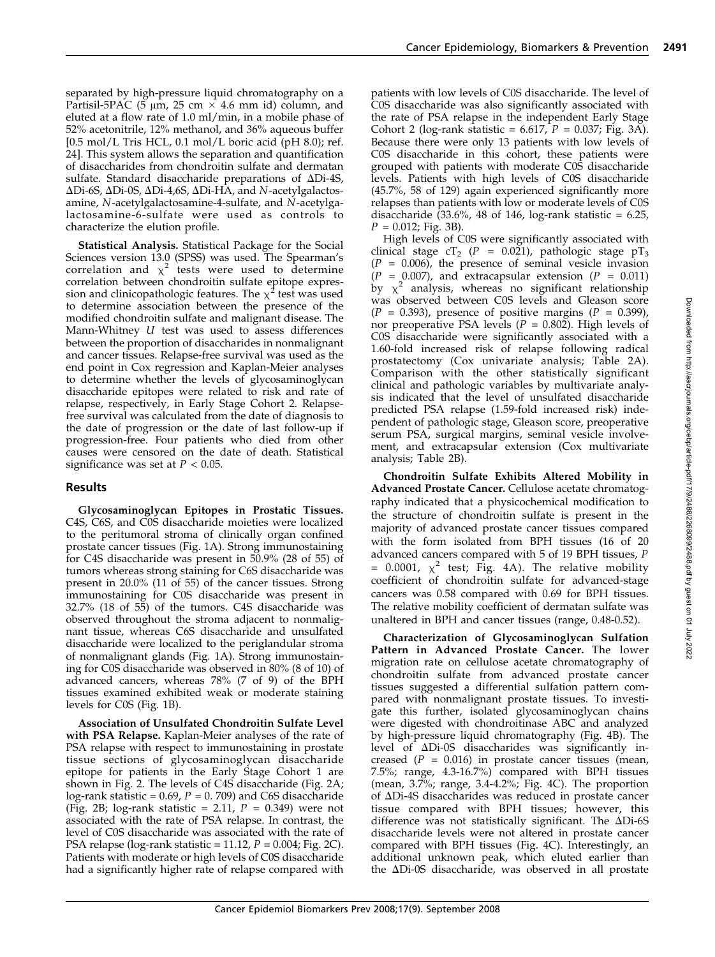separated by high-pressure liquid chromatography on a Partisil-5PAC (5  $\mu$ m, 25 cm  $\times$  4.6 mm id) column, and eluted at a flow rate of 1.0 ml/min, in a mobile phase of 52% acetonitrile, 12% methanol, and 36% aqueous buffer  $[0.5 \text{ mol/L}$  Tris HCL, 0.1 mol/L boric acid (pH 8.0); ref. 24]. This system allows the separation and quantification of disaccharides from chondroitin sulfate and dermatan sulfate. Standard disaccharide preparations of  $\Delta$ Di-4S, ΔDi-6S, ΔDi-0S, ΔDi-4,6S, ΔDi-HA, and N-acetylgalactosamine, N-acetylgalactosamine-4-sulfate, and N-acetylgalactosamine-6-sulfate were used as controls to characterize the elution profile.

Statistical Analysis. Statistical Package for the Social Sciences version 13.0 (SPSS) was used. The Spearman's correlation and  $\chi^2$  tests were used to determine correlation between chondroitin sulfate epitope expression and clinicopathologic features. The  $\chi^2$  test was used to determine association between the presence of the modified chondroitin sulfate and malignant disease. The Mann-Whitney U test was used to assess differences between the proportion of disaccharides in nonmalignant and cancer tissues. Relapse-free survival was used as the end point in Cox regression and Kaplan-Meier analyses to determine whether the levels of glycosaminoglycan disaccharide epitopes were related to risk and rate of relapse, respectively, in Early Stage Cohort 2. Relapsefree survival was calculated from the date of diagnosis to the date of progression or the date of last follow-up if progression-free. Four patients who died from other causes were censored on the date of death. Statistical significance was set at  $P < 0.05$ .

## Results

Glycosaminoglycan Epitopes in Prostatic Tissues. C4S, C6S, and C0S disaccharide moieties were localized to the peritumoral stroma of clinically organ confined prostate cancer tissues (Fig. 1A). Strong immunostaining for C4S disaccharide was present in 50.9% (28 of 55) of tumors whereas strong staining for C6S disaccharide was present in 20.0% (11 of 55) of the cancer tissues. Strong immunostaining for C0S disaccharide was present in 32.7% (18 of 55) of the tumors. C4S disaccharide was observed throughout the stroma adjacent to nonmalignant tissue, whereas C6S disaccharide and unsulfated disaccharide were localized to the periglandular stroma of nonmalignant glands (Fig. 1A). Strong immunostaining for C0S disaccharide was observed in 80% (8 of 10) of advanced cancers, whereas 78% (7 of 9) of the BPH tissues examined exhibited weak or moderate staining levels for C0S (Fig. 1B).

Association of Unsulfated Chondroitin Sulfate Level with PSA Relapse. Kaplan-Meier analyses of the rate of PSA relapse with respect to immunostaining in prostate tissue sections of glycosaminoglycan disaccharide epitope for patients in the Early Stage Cohort 1 are shown in Fig. 2. The levels of C4S disaccharide (Fig. 2A; log-rank statistic =  $0.69$ ,  $P = 0.709$ ) and C6S disaccharide (Fig. 2B; log-rank statistic = 2.11,  $P = 0.349$ ) were not associated with the rate of PSA relapse. In contrast, the level of C0S disaccharide was associated with the rate of PSA relapse (log-rank statistic = 11.12,  $P = 0.004$ ; Fig. 2C). Patients with moderate or high levels of C0S disaccharide had a significantly higher rate of relapse compared with patients with low levels of C0S disaccharide. The level of C0S disaccharide was also significantly associated with the rate of PSA relapse in the independent Early Stage Cohort 2 (log-rank statistic = 6.617,  $P = 0.037$ ; Fig. 3A). Because there were only 13 patients with low levels of C0S disaccharide in this cohort, these patients were grouped with patients with moderate C0S disaccharide levels. Patients with high levels of C0S disaccharide (45.7%, 58 of 129) again experienced significantly more relapses than patients with low or moderate levels of C0S disaccharide  $(33.6\% , 48$  of 146, log-rank statistic = 6.25,  $P = 0.012$ ; Fig. 3B).

High levels of C0S were significantly associated with clinical stage cT<sub>2</sub> (P = 0.021), pathologic stage pT<sub>3</sub>  $(P = 0.006)$ , the presence of seminal vesicle invasion  $(P = 0.007)$ , and extracapsular extension  $(P = 0.011)$ by  $\chi^2$  analysis, whereas no significant relationship was observed between C0S levels and Gleason score  $(P = 0.393)$ , presence of positive margins  $(P = 0.399)$ , nor preoperative PSA levels ( $P = 0.802$ ). High levels of C0S disaccharide were significantly associated with a 1.60-fold increased risk of relapse following radical prostatectomy (Cox univariate analysis; Table 2A). Comparison with the other statistically significant clinical and pathologic variables by multivariate analysis indicated that the level of unsulfated disaccharide predicted PSA relapse (1.59-fold increased risk) independent of pathologic stage, Gleason score, preoperative serum PSA, surgical margins, seminal vesicle involvement, and extracapsular extension (Cox multivariate analysis; Table 2B).

Chondroitin Sulfate Exhibits Altered Mobility in Advanced Prostate Cancer. Cellulose acetate chromatography indicated that a physicochemical modification to the structure of chondroitin sulfate is present in the majority of advanced prostate cancer tissues compared with the form isolated from BPH tissues (16 of 20 advanced cancers compared with 5 of 19 BPH tissues, P = 0.0001,  $\chi^2$  test; Fig. 4A). The relative mobility coefficient of chondroitin sulfate for advanced-stage cancers was 0.58 compared with 0.69 for BPH tissues. The relative mobility coefficient of dermatan sulfate was unaltered in BPH and cancer tissues (range, 0.48-0.52).

Characterization of Glycosaminoglycan Sulfation Pattern in Advanced Prostate Cancer. The lower migration rate on cellulose acetate chromatography of chondroitin sulfate from advanced prostate cancer tissues suggested a differential sulfation pattern compared with nonmalignant prostate tissues. To investigate this further, isolated glycosaminoglycan chains were digested with chondroitinase ABC and analyzed by high-pressure liquid chromatography (Fig. 4B). The level of DDi-0S disaccharides was significantly increased ( $P = 0.016$ ) in prostate cancer tissues (mean, 7.5%; range, 4.3-16.7%) compared with BPH tissues (mean, 3.7%; range, 3.4-4.2%; Fig. 4C). The proportion of DDi-4S disaccharides was reduced in prostate cancer tissue compared with BPH tissues; however, this difference was not statistically significant. The  $\Delta$ Di-6S disaccharide levels were not altered in prostate cancer compared with BPH tissues (Fig. 4C). Interestingly, an additional unknown peak, which eluted earlier than the  $\Delta$ Di-0S disaccharide, was observed in all prostate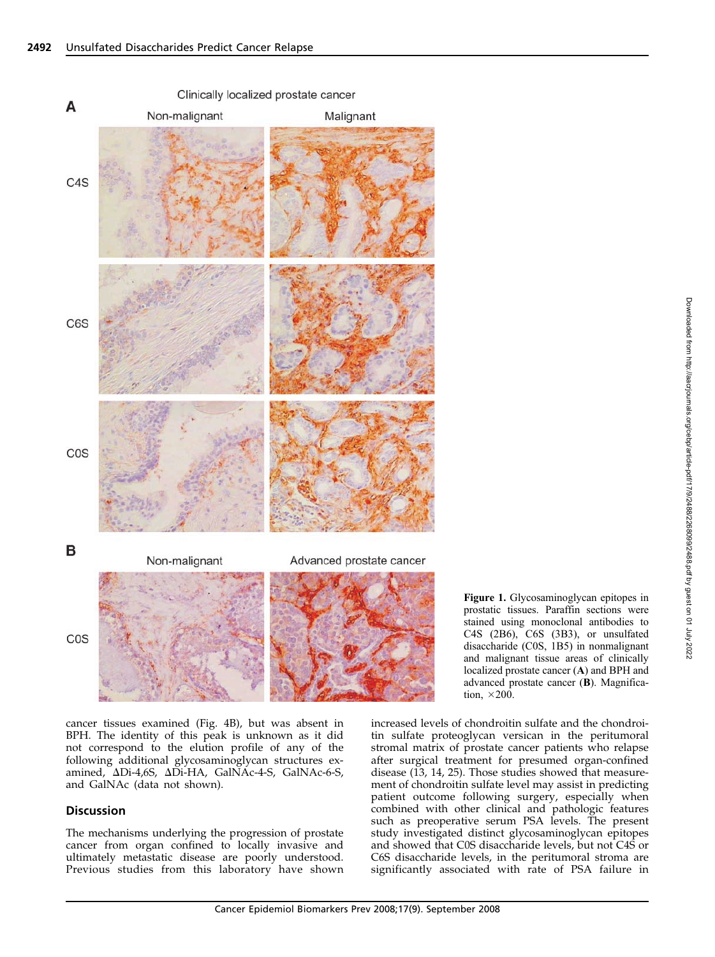

Figure 1. Glycosaminoglycan epitopes in prostatic tissues. Paraffin sections were stained using monoclonal antibodies to C4S (2B6), C6S (3B3), or unsulfated disaccharide (C0S, 1B5) in nonmalignant and malignant tissue areas of clinically localized prostate cancer (A) and BPH and advanced prostate cancer (B). Magnification,  $\times$  200.

cancer tissues examined (Fig. 4B), but was absent in BPH. The identity of this peak is unknown as it did not correspond to the elution profile of any of the following additional glycosaminoglycan structures examined, ADi-4,6S, ADi-HA, GalNAc-4-S, GalNAc-6-S, and GalNAc (data not shown).

#### **Discussion**

The mechanisms underlying the progression of prostate cancer from organ confined to locally invasive and ultimately metastatic disease are poorly understood. Previous studies from this laboratory have shown increased levels of chondroitin sulfate and the chondroitin sulfate proteoglycan versican in the peritumoral stromal matrix of prostate cancer patients who relapse after surgical treatment for presumed organ-confined disease (13, 14, 25). Those studies showed that measurement of chondroitin sulfate level may assist in predicting patient outcome following surgery, especially when combined with other clinical and pathologic features such as preoperative serum PSA levels. The present study investigated distinct glycosaminoglycan epitopes and showed that C0S disaccharide levels, but not C4S or C6S disaccharide levels, in the peritumoral stroma are significantly associated with rate of PSA failure in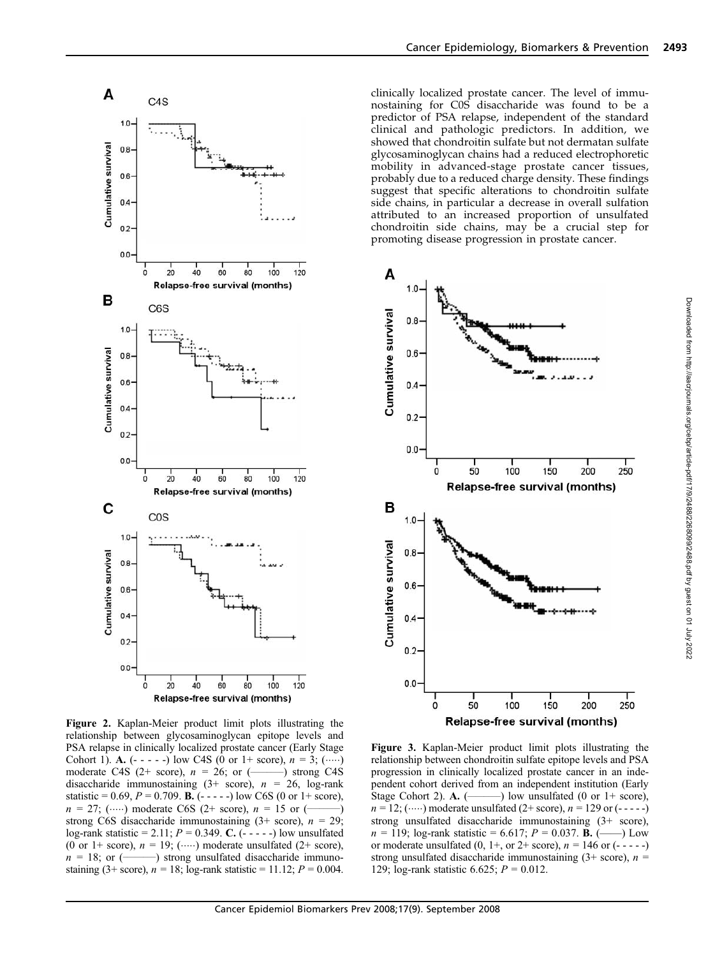

Figure 2. Kaplan-Meier product limit plots illustrating the relationship between glycosaminoglycan epitope levels and PSA relapse in clinically localized prostate cancer (Early Stage Cohort 1). A. (- - - - -) low C4S (0 or 1+ score), <sup>n</sup> =3;() moderate C4S (2+ score),  $n = 26$ ; or (disaccharide immunostaining  $(3+)$  score),  $n = 26$ , log-rank statistic = 0.69,  $P = 0.709$ . **B.** (- - - - -) low C6S (0 or 1+ score),  $n = 27$ ; (.....) moderate C6S (2+ score),  $n = 15$  or (strong C6S disaccharide immunostaining  $(3 + score)$ ,  $n = 29$ ; log-rank statistic = 2.11;  $P = 0.349$ . C. (- - - - -) low unsulfated (0 or 1+ score),  $n = 19$ ; (.....) moderate unsulfated (2+ score),  $n = 18$ ; or (.................) strong unsulfated disaccharide immuno--) strong unsulfated disaccharide immunostaining (3+ score),  $n = 18$ ; log-rank statistic = 11.12;  $P = 0.004$ .

clinically localized prostate cancer. The level of immunostaining for C0S disaccharide was found to be a predictor of PSA relapse, independent of the standard clinical and pathologic predictors. In addition, we showed that chondroitin sulfate but not dermatan sulfate glycosaminoglycan chains had a reduced electrophoretic mobility in advanced-stage prostate cancer tissues, probably due to a reduced charge density. These findings suggest that specific alterations to chondroitin sulfate side chains, in particular a decrease in overall sulfation attributed to an increased proportion of unsulfated chondroitin side chains, may be a crucial step for promoting disease progression in prostate cancer.



Figure 3. Kaplan-Meier product limit plots illustrating the relationship between chondroitin sulfate epitope levels and PSA progression in clinically localized prostate cancer in an independent cohort derived from an independent institution (Early Stage Cohort 2). A. (  $-$ ) low unsulfated (0 or 1+ score),  $n = 12$ ; ( $\cdots$ ) moderate unsulfated (2+ score),  $n = 129$  or (-----) strong unsulfated disaccharide immunostaining (3+ score), <sup>n</sup> = 119; log-rank statistic = 6.617; <sup>P</sup> = 0.037. B. (——) Low or moderate unsulfated  $(0, 1+,$  or  $2+$  score),  $n = 146$  or  $(- - - -)$ strong unsulfated disaccharide immunostaining  $(3 + score)$ ,  $n =$ 129; log-rank statistic 6.625;  $P = 0.012$ .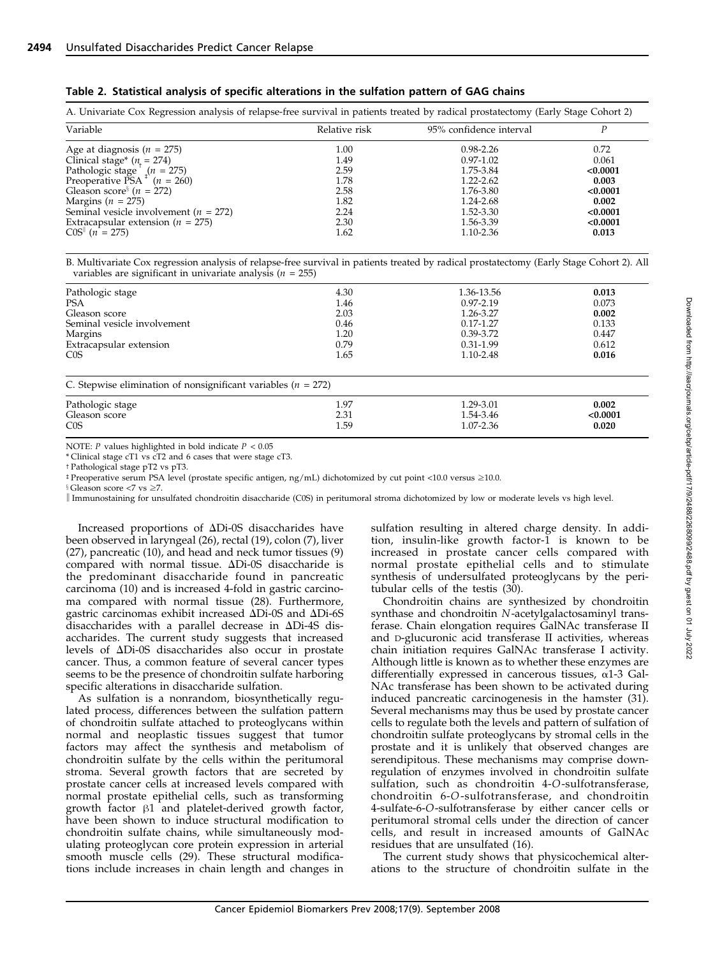|  |  |  |  |  | Table 2. Statistical analysis of specific alterations in the sulfation pattern of GAG chains |  |  |
|--|--|--|--|--|----------------------------------------------------------------------------------------------|--|--|
|--|--|--|--|--|----------------------------------------------------------------------------------------------|--|--|

| A. Univariate Cox Regression analysis of relapse-free survival in patients treated by radical prostatectomy (Early Stage Cohort 2) |               |                         |          |  |  |
|------------------------------------------------------------------------------------------------------------------------------------|---------------|-------------------------|----------|--|--|
| Variable                                                                                                                           | Relative risk | 95% confidence interval |          |  |  |
| Age at diagnosis ( $n = 275$ )                                                                                                     | 1.00          | $0.98 - 2.26$           | 0.72     |  |  |
| Clinical stage* $(n = 274)$                                                                                                        | 1.49          | $0.97 - 1.02$           | 0.061    |  |  |
| Pathologic stage $^{\dagger}$ ( <i>n</i> = 275)<br>Preoperative PSA $^{\dagger}$ ( <i>n</i> = 260)                                 | 2.59          | 1.75-3.84               | < 0.0001 |  |  |
|                                                                                                                                    | 1.78          | 1.22-2.62               | 0.003    |  |  |
| Gleason score <sup>§</sup> $(n = 272)$                                                                                             | 2.58          | 1.76-3.80               | < 0.0001 |  |  |
| Margins ( $n = 275$ )                                                                                                              | 1.82          | 1.24-2.68               | 0.002    |  |  |
| Seminal vesicle involvement ( $n = 272$ )                                                                                          | 2.24          | 1.52-3.30               | < 0.0001 |  |  |
| Extracapsular extension ( $n = 275$ )                                                                                              | 2.30          | 1.56-3.39               | < 0.0001 |  |  |
| $COS  $ (n = 275)                                                                                                                  | 1.62          | 1.10-2.36               | 0.013    |  |  |

B. Multivariate Cox regression analysis of relapse-free survival in patients treated by radical prostatectomy (Early Stage Cohort 2). All variables are significant in univariate analysis ( $n = 255$ )

| Pathologic stage<br><b>PSA</b><br>Gleason score<br>Seminal vesicle involvement<br>Margins<br>Extracapsular extension<br>C <sub>0</sub> S | 4.30<br>1.46<br>2.03<br>0.46<br>1.20<br>0.79<br>1.65 | 1.36-13.56<br>$0.97 - 2.19$<br>1.26-3.27<br>$0.17 - 1.27$<br>0.39-3.72<br>$0.31 - 1.99$<br>1.10-2.48 | 0.013<br>0.073<br>0.002<br>0.133<br>0.447<br>0.612<br>0.016 |
|------------------------------------------------------------------------------------------------------------------------------------------|------------------------------------------------------|------------------------------------------------------------------------------------------------------|-------------------------------------------------------------|
| C. Stepwise elimination of nonsignificant variables ( $n = 272$ )                                                                        |                                                      |                                                                                                      |                                                             |
| Pathologic stage                                                                                                                         | 1.97                                                 | 1.29-3.01                                                                                            | 0.002                                                       |
| Gleason score                                                                                                                            | 2.31                                                 | 1.54-3.46                                                                                            | < 0.0001                                                    |
| C <sub>0</sub> S                                                                                                                         | 1.59                                                 | 1.07-2.36                                                                                            | 0.020                                                       |

NOTE:  $P$  values highlighted in bold indicate  $P < 0.05$ 

\* Clinical stage cT1 vs cT2 and 6 cases that were stage cT3.

<sup>t</sup> Pathological stage pT2 vs pT3.

bPreoperative serum PSA level (prostate specific antigen, ng/mL) dichotomized by cut point <10.0 versus z10.0.

 $\$ Gleason score <7 vs  $\geq$ 7.

k Immunostaining for unsulfated chondroitin disaccharide (C0S) in peritumoral stroma dichotomized by low or moderate levels vs high level.

Increased proportions of  $\Delta$ Di-0S disaccharides have been observed in laryngeal (26), rectal (19), colon (7), liver (27), pancreatic (10), and head and neck tumor tissues (9) compared with normal tissue.  $\Delta$ Di-0S disaccharide is the predominant disaccharide found in pancreatic carcinoma (10) and is increased 4-fold in gastric carcinoma compared with normal tissue (28). Furthermore, gastric carcinomas exhibit increased  $\Delta$ Di-0S and  $\Delta$ Di-6S disaccharides with a parallel decrease in  $\Delta$ Di-4S disaccharides. The current study suggests that increased levels of DDi-0S disaccharides also occur in prostate cancer. Thus, a common feature of several cancer types seems to be the presence of chondroitin sulfate harboring specific alterations in disaccharide sulfation.

As sulfation is a nonrandom, biosynthetically regulated process, differences between the sulfation pattern of chondroitin sulfate attached to proteoglycans within normal and neoplastic tissues suggest that tumor factors may affect the synthesis and metabolism of chondroitin sulfate by the cells within the peritumoral stroma. Several growth factors that are secreted by prostate cancer cells at increased levels compared with normal prostate epithelial cells, such as transforming growth factor  $\beta$ 1 and platelet-derived growth factor, have been shown to induce structural modification to chondroitin sulfate chains, while simultaneously modulating proteoglycan core protein expression in arterial smooth muscle cells (29). These structural modifications include increases in chain length and changes in sulfation resulting in altered charge density. In addition, insulin-like growth factor-1 is known to be increased in prostate cancer cells compared with normal prostate epithelial cells and to stimulate synthesis of undersulfated proteoglycans by the peritubular cells of the testis (30).

Chondroitin chains are synthesized by chondroitin synthase and chondroitin N-acetylgalactosaminyl transferase. Chain elongation requires GalNAc transferase II and D-glucuronic acid transferase II activities, whereas chain initiation requires GalNAc transferase I activity. Although little is known as to whether these enzymes are differentially expressed in cancerous tissues,  $\alpha$ 1-3 Gal-NAc transferase has been shown to be activated during induced pancreatic carcinogenesis in the hamster (31). Several mechanisms may thus be used by prostate cancer cells to regulate both the levels and pattern of sulfation of chondroitin sulfate proteoglycans by stromal cells in the prostate and it is unlikely that observed changes are serendipitous. These mechanisms may comprise downregulation of enzymes involved in chondroitin sulfate sulfation, such as chondroitin 4-O-sulfotransferase, chondroitin 6-O-sulfotransferase, and chondroitin 4-sulfate-6-O-sulfotransferase by either cancer cells or peritumoral stromal cells under the direction of cancer cells, and result in increased amounts of GalNAc residues that are unsulfated (16).

The current study shows that physicochemical alterations to the structure of chondroitin sulfate in the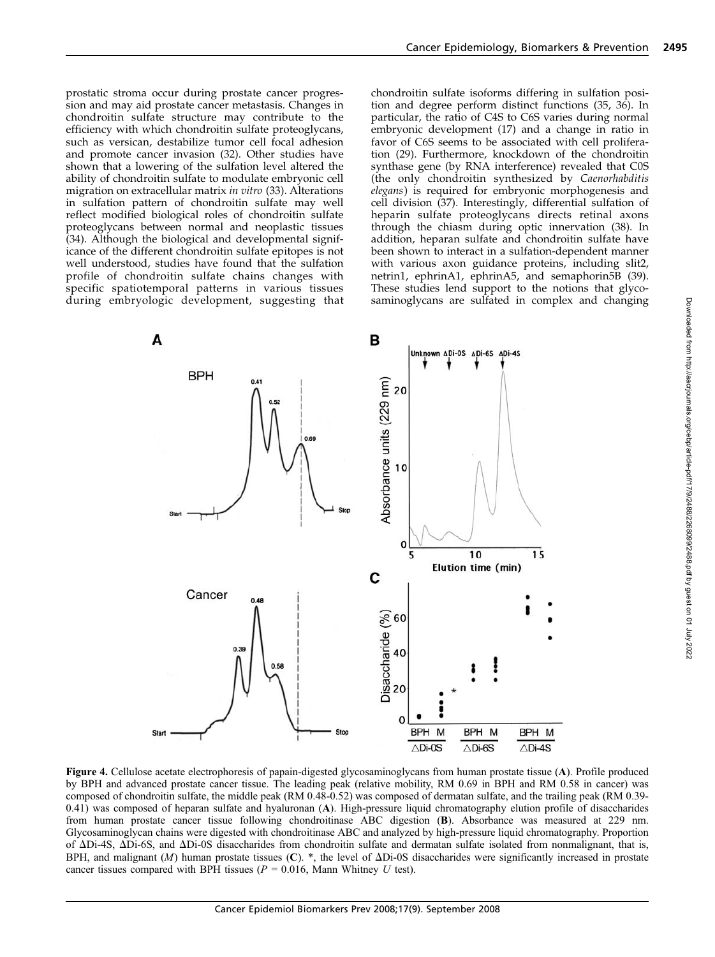prostatic stroma occur during prostate cancer progression and may aid prostate cancer metastasis. Changes in chondroitin sulfate structure may contribute to the efficiency with which chondroitin sulfate proteoglycans, such as versican, destabilize tumor cell focal adhesion and promote cancer invasion (32). Other studies have shown that a lowering of the sulfation level altered the ability of chondroitin sulfate to modulate embryonic cell migration on extracellular matrix in vitro (33). Alterations in sulfation pattern of chondroitin sulfate may well reflect modified biological roles of chondroitin sulfate proteoglycans between normal and neoplastic tissues (34). Although the biological and developmental significance of the different chondroitin sulfate epitopes is not well understood, studies have found that the sulfation profile of chondroitin sulfate chains changes with specific spatiotemporal patterns in various tissues during embryologic development, suggesting that chondroitin sulfate isoforms differing in sulfation position and degree perform distinct functions (35, 36). In particular, the ratio of C4S to C6S varies during normal embryonic development (17) and a change in ratio in favor of C6S seems to be associated with cell proliferation (29). Furthermore, knockdown of the chondroitin synthase gene (by RNA interference) revealed that C0S (the only chondroitin synthesized by Caenorhabditis elegans) is required for embryonic morphogenesis and cell division (37). Interestingly, differential sulfation of heparin sulfate proteoglycans directs retinal axons through the chiasm during optic innervation (38). In addition, heparan sulfate and chondroitin sulfate have been shown to interact in a sulfation-dependent manner with various axon guidance proteins, including slit2, netrin1, ephrinA1, ephrinA5, and semaphorin5B (39). These studies lend support to the notions that glycosaminoglycans are sulfated in complex and changing



Figure 4. Cellulose acetate electrophoresis of papain-digested glycosaminoglycans from human prostate tissue (A). Profile produced by BPH and advanced prostate cancer tissue. The leading peak (relative mobility, RM 0.69 in BPH and RM 0.58 in cancer) was composed of chondroitin sulfate, the middle peak (RM 0.48-0.52) was composed of dermatan sulfate, and the trailing peak (RM 0.39- 0.41) was composed of heparan sulfate and hyaluronan (A). High-pressure liquid chromatography elution profile of disaccharides from human prostate cancer tissue following chondroitinase ABC digestion (B). Absorbance was measured at 229 nm. Glycosaminoglycan chains were digested with chondroitinase ABC and analyzed by high-pressure liquid chromatography. Proportion of DDi-4S, DDi-6S, and DDi-0S disaccharides from chondroitin sulfate and dermatan sulfate isolated from nonmalignant, that is, BPH, and malignant  $(M)$  human prostate tissues  $(C)$ . \*, the level of  $\Delta$ Di-0S disaccharides were significantly increased in prostate cancer tissues compared with BPH tissues ( $P = 0.016$ , Mann Whitney U test).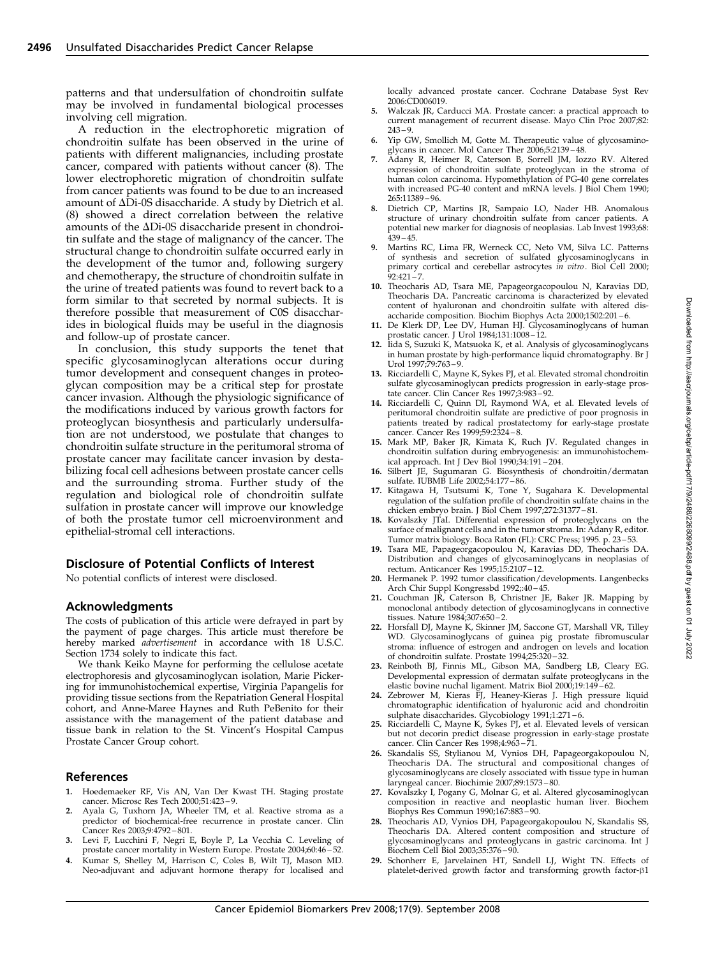patterns and that undersulfation of chondroitin sulfate may be involved in fundamental biological processes involving cell migration.

A reduction in the electrophoretic migration of chondroitin sulfate has been observed in the urine of patients with different malignancies, including prostate cancer, compared with patients without cancer (8). The lower electrophoretic migration of chondroitin sulfate from cancer patients was found to be due to an increased amount of  $\Delta$ Di-0S disaccharide. A study by Dietrich et al. (8) showed a direct correlation between the relative amounts of the  $\Delta$ Di-0S disaccharide present in chondroitin sulfate and the stage of malignancy of the cancer. The structural change to chondroitin sulfate occurred early in the development of the tumor and, following surgery and chemotherapy, the structure of chondroitin sulfate in the urine of treated patients was found to revert back to a form similar to that secreted by normal subjects. It is therefore possible that measurement of C0S disaccharides in biological fluids may be useful in the diagnosis and follow-up of prostate cancer.

In conclusion, this study supports the tenet that specific glycosaminoglycan alterations occur during tumor development and consequent changes in proteoglycan composition may be a critical step for prostate cancer invasion. Although the physiologic significance of the modifications induced by various growth factors for proteoglycan biosynthesis and particularly undersulfation are not understood, we postulate that changes to chondroitin sulfate structure in the peritumoral stroma of prostate cancer may facilitate cancer invasion by destabilizing focal cell adhesions between prostate cancer cells and the surrounding stroma. Further study of the regulation and biological role of chondroitin sulfate sulfation in prostate cancer will improve our knowledge of both the prostate tumor cell microenvironment and epithelial-stromal cell interactions.

#### Disclosure of Potential Conflicts of Interest

No potential conflicts of interest were disclosed.

#### Acknowledgments

The costs of publication of this article were defrayed in part by the payment of page charges. This article must therefore be hereby marked advertisement in accordance with 18 U.S.C. Section 1734 solely to indicate this fact.

We thank Keiko Mayne for performing the cellulose acetate electrophoresis and glycosaminoglycan isolation, Marie Pickering for immunohistochemical expertise, Virginia Papangelis for providing tissue sections from the Repatriation General Hospital cohort, and Anne-Maree Haynes and Ruth PeBenito for their assistance with the management of the patient database and tissue bank in relation to the St. Vincent's Hospital Campus Prostate Cancer Group cohort.

#### References

- 1. Hoedemaeker RF, Vis AN, Van Der Kwast TH. Staging prostate cancer. Microsc Res Tech 2000;51:423 – 9.
- 2. Ayala G, Tuxhorn JA, Wheeler TM, et al. Reactive stroma as a predictor of biochemical-free recurrence in prostate cancer. Clin Cancer Res 2003;9:4792 – 801.
- 3. Levi F, Lucchini F, Negri E, Boyle P, La Vecchia C. Leveling of prostate cancer mortality in Western Europe. Prostate 2004;60:46 – 52.
- Kumar S, Shelley M, Harrison C, Coles B, Wilt TJ, Mason MD. Neo-adjuvant and adjuvant hormone therapy for localised and

locally advanced prostate cancer. Cochrane Database Syst Rev 2006:CD006019.

- 5. Walczak JR, Carducci MA. Prostate cancer: a practical approach to current management of recurrent disease. Mayo Clin Proc 2007;82:  $243 - 9.$
- 6. Yip GW, Smollich M, Gotte M. Therapeutic value of glycosamino-
- glycans in cancer. Mol Cancer Ther 2006;5:2139 48. 7. Adany R, Heimer R, Caterson B, Sorrell JM, Iozzo RV. Altered expression of chondroitin sulfate proteoglycan in the stroma of human colon carcinoma. Hypomethylation of PG-40 gene correlates with increased PG-40 content and mRNA levels. J Biol Chem 1990; 265:11389 – 96.
- 8. Dietrich CP, Martins JR, Sampaio LO, Nader HB. Anomalous structure of urinary chondroitin sulfate from cancer patients. A potential new marker for diagnosis of neoplasias. Lab Invest 1993;68:  $439 - 45$
- 9. Martins RC, Lima FR, Werneck CC, Neto VM, Silva LC. Patterns of synthesis and secretion of sulfated glycosaminoglycans in primary cortical and cerebellar astrocytes in vitro. Biol Cell 2000;  $92:421 - 7$
- 10. Theocharis AD, Tsara ME, Papageorgacopoulou N, Karavias DD, Theocharis DA. Pancreatic carcinoma is characterized by elevated content of hyaluronan and chondroitin sulfate with altered disaccharide composition. Biochim Biophys Acta 2000;1502:201 – 6.
- 11. De Klerk DP, Lee DV, Human HJ. Glycosaminoglycans of human prostatic cancer. J Urol 1984;131:1008 – 12.
- 12. Iida S, Suzuki K, Matsuoka K, et al. Analysis of glycosaminoglycans in human prostate by high-performance liquid chromatography. Br J Urol 1997;79:763 – 9.
- 13. Ricciardelli C, Mayne K, Sykes PJ, et al. Elevated stromal chondroitin sulfate glycosaminoglycan predicts progression in early-stage pros-tate cancer. Clin Cancer Res 1997;3:983 – 92.
- 14. Ricciardelli C, Quinn DI, Raymond WA, et al. Elevated levels of peritumoral chondroitin sulfate are predictive of poor prognosis in patients treated by radical prostatectomy for early-stage prostate cancer. Cancer Res 1999;59:2324 – 8.
- 15. Mark MP, Baker JR, Kimata K, Ruch JV. Regulated changes in chondroitin sulfation during embryogenesis: an immunohistochemical approach. Int J Dev Biol 1990;34:191 – 204.
- 16. Silbert JE, Sugumaran G. Biosynthesis of chondroitin/dermatan sulfate. IUBMB Life 2002;54:177 – 86.
- 17. Kitagawa H, Tsutsumi K, Tone Y, Sugahara K. Developmental regulation of the sulfation profile of chondroitin sulfate chains in the chicken embryo brain. J Biol Chem 1997;272:31377 – 81.
- 18. Kovalszky JTaI. Differential expression of proteoglycans on the surface of malignant cells and in the tumor stroma. In: Adany R, editor. Tumor matrix biology. Boca Raton (FL): CRC Press; 1995. p. 23 – 53.
- 19. Tsara ME, Papageorgacopoulou N, Karavias DD, Theocharis DA. Distribution and changes of glycosaminoglycans in neoplasias of
- rectum. Anticancer Res 1995;15:2107 12. 20. Hermanek P. 1992 tumor classification/developments. Langenbecks Arch Chir Suppl Kongressbd 1992;:40 – 45.
- 21. Couchman JR, Caterson B, Christner JE, Baker JR. Mapping by monoclonal antibody detection of glycosaminoglycans in connective tissues. Nature 1984;307:650 – 2.
- 22. Horsfall DJ, Mayne K, Skinner JM, Saccone GT, Marshall VR, Tilley WD. Glycosaminoglycans of guinea pig prostate fibromuscular stroma: influence of estrogen and androgen on levels and location of chondroitin sulfate. Prostate 1994;25:320 – 32.
- 23. Reinboth BJ, Finnis ML, Gibson MA, Sandberg LB, Cleary EG. Developmental expression of dermatan sulfate proteoglycans in the elastic bovine nuchal ligament. Matrix Biol 2000;19:149 – 62.
- 24. Zebrower M, Kieras FJ, Heaney-Kieras J. High pressure liquid chromatographic identification of hyaluronic acid and chondroitin
- sulphate disaccharides. Glycobiology 1991;1:271 6. 25. Ricciardelli C, Mayne K, Sykes PJ, et al. Elevated levels of versican but not decorin predict disease progression in early-stage prostate cancer. Clin Cancer Res 1998;4:963 – 71.
- 26. Skandalis SS, Stylianou M, Vynios DH, Papageorgakopoulou N, Theocharis DA. The structural and compositional changes of glycosaminoglycans are closely associated with tissue type in human laryngeal cancer. Biochimie 2007;89:1573 – 80.
- 27. Kovalszky I, Pogany G, Molnar G, et al. Altered glycosaminoglycan composition in reactive and neoplastic human liver. Biochem Biophys Res Commun 1990;167:883 – 90.
- 28. Theocharis AD, Vynios DH, Papageorgakopoulou N, Skandalis SS, Theocharis DA. Altered content composition and structure of glycosaminoglycans and proteoglycans in gastric carcinoma. Int J BiochemCell Biol 2003;35:376 – 90.
- 29. Schonherr E, Jarvelainen HT, Sandell LJ, Wight TN. Effects of platelet-derived growth factor and transforming growth factor- $\beta1$